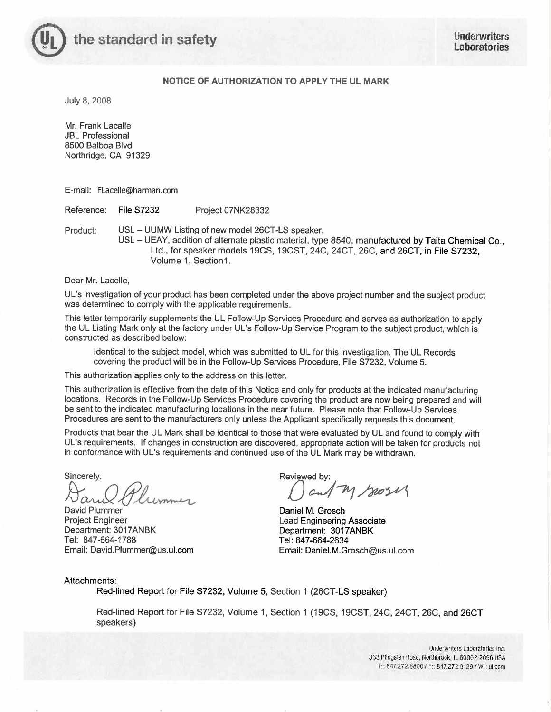

# NOTICE OF AUTHORIZATION TO APPLY THE UL MARK

July 8, 2008

Mr. Frank Lacalle **JBL Professional** 8500 Balboa Blvd Northridge, CA 91329

E-mail: FLacelle@harman.com

Reference: **File S7232** Project 07NK28332

USL - UUMW Listing of new model 26CT-LS speaker. Product:

USL - UEAY, addition of alternate plastic material, type 8540, manufactured by Taita Chemical Co., Ltd., for speaker models 19CS, 19CST, 24C, 24CT, 26C, and 26CT, in File S7232. Volume 1, Section1.

Dear Mr. Lacelle.

UL's investigation of your product has been completed under the above project number and the subject product was determined to comply with the applicable requirements.

This letter temporarily supplements the UL Follow-Up Services Procedure and serves as authorization to apply the UL Listing Mark only at the factory under UL's Follow-Up Service Program to the subject product, which is constructed as described below:

Identical to the subject model, which was submitted to UL for this investigation. The UL Records covering the product will be in the Follow-Up Services Procedure, File S7232, Volume 5.

This authorization applies only to the address on this letter.

This authorization is effective from the date of this Notice and only for products at the indicated manufacturing locations. Records in the Follow-Up Services Procedure covering the product are now being prepared and will be sent to the indicated manufacturing locations in the near future. Please note that Follow-Up Services Procedures are sent to the manufacturers only unless the Applicant specifically requests this document.

Products that bear the UL Mark shall be identical to those that were evaluated by UL and found to comply with UL's requirements. If changes in construction are discovered, appropriate action will be taken for products not in conformance with UL's requirements and continued use of the UL Mark may be withdrawn.

Sincerely,

David Plummer **Project Engineer** Department: 3017ANBK Tel: 847-664-1788 Email: David.Plummer@us.ul.com

Reviewed by: M Seosis

Daniel M. Grosch **Lead Engineering Associate** Department: 3017ANBK Tel: 847-664-2634 Email: Daniel.M.Grosch@us.ul.com

Attachments:

Red-lined Report for File S7232, Volume 5, Section 1 (26CT-LS speaker)

Red-lined Report for File S7232, Volume 1, Section 1 (19CS, 19CST, 24C, 24CT, 26C, and 26CT speakers)

> Underwriters Laboratories Inc. 333 Pfingsten Road, Northbrook, IL 60062-2096 USA T:: 847.272.8800 / F:: 847.272.8129 / W:: ul.com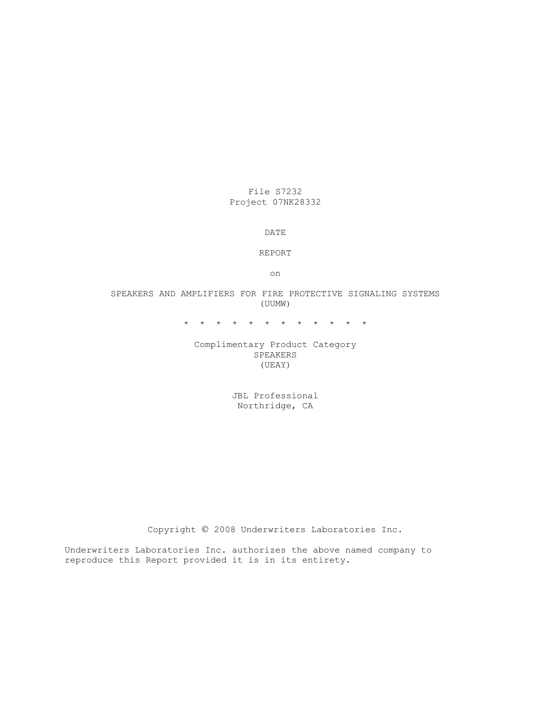File S7232 Project 07NK28332

DATE

REPORT

on

## SPEAKERS AND AMPLIFIERS FOR FIRE PROTECTIVE SIGNALING SYSTEMS (UUMW)

\* \* \* \* \* \* \* \* \* \* \* \*

## Complimentary Product Category SPEAKERS (UEAY)

JBL Professional Northridge, CA

Copyright © 2008 Underwriters Laboratories Inc.

Underwriters Laboratories Inc. authorizes the above named company to reproduce this Report provided it is in its entirety.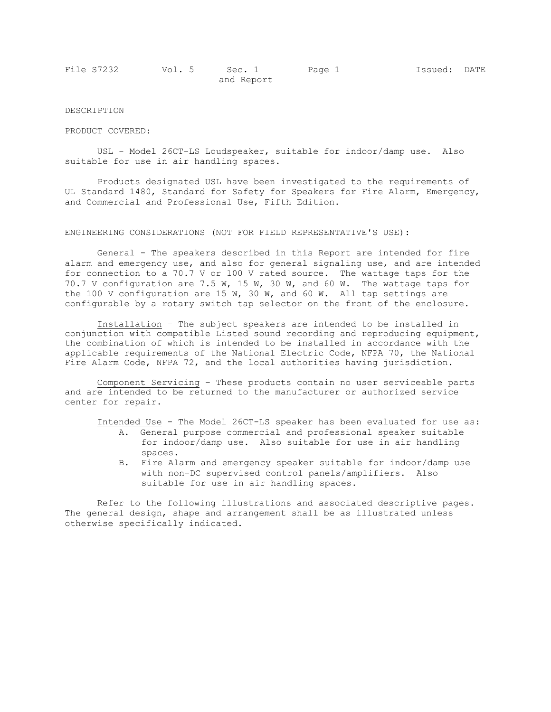| File S7232 | Vol. 5 | Sec. 1     | Page 1 | Issued: DATE |  |
|------------|--------|------------|--------|--------------|--|
|            |        | and Report |        |              |  |

## DESCRIPTION

#### PRODUCT COVERED:

 USL - Model 26CT-LS Loudspeaker, suitable for indoor/damp use. Also suitable for use in air handling spaces.

 Products designated USL have been investigated to the requirements of UL Standard 1480, Standard for Safety for Speakers for Fire Alarm, Emergency, and Commercial and Professional Use, Fifth Edition.

### ENGINEERING CONSIDERATIONS (NOT FOR FIELD REPRESENTATIVE'S USE):

 General - The speakers described in this Report are intended for fire alarm and emergency use, and also for general signaling use, and are intended for connection to a 70.7 V or 100 V rated source. The wattage taps for the 70.7 V configuration are 7.5 W, 15 W, 30 W, and 60 W. The wattage taps for the 100 V configuration are 15 W, 30 W, and 60 W. All tap settings are configurable by a rotary switch tap selector on the front of the enclosure.

Installation – The subject speakers are intended to be installed in conjunction with compatible Listed sound recording and reproducing equipment, the combination of which is intended to be installed in accordance with the applicable requirements of the National Electric Code, NFPA 70, the National Fire Alarm Code, NFPA 72, and the local authorities having jurisdiction.

Component Servicing – These products contain no user serviceable parts and are intended to be returned to the manufacturer or authorized service center for repair.

Intended Use - The Model 26CT-LS speaker has been evaluated for use as:

- A. General purpose commercial and professional speaker suitable for indoor/damp use. Also suitable for use in air handling spaces.
- B. Fire Alarm and emergency speaker suitable for indoor/damp use with non-DC supervised control panels/amplifiers. Also suitable for use in air handling spaces.

 Refer to the following illustrations and associated descriptive pages. The general design, shape and arrangement shall be as illustrated unless otherwise specifically indicated.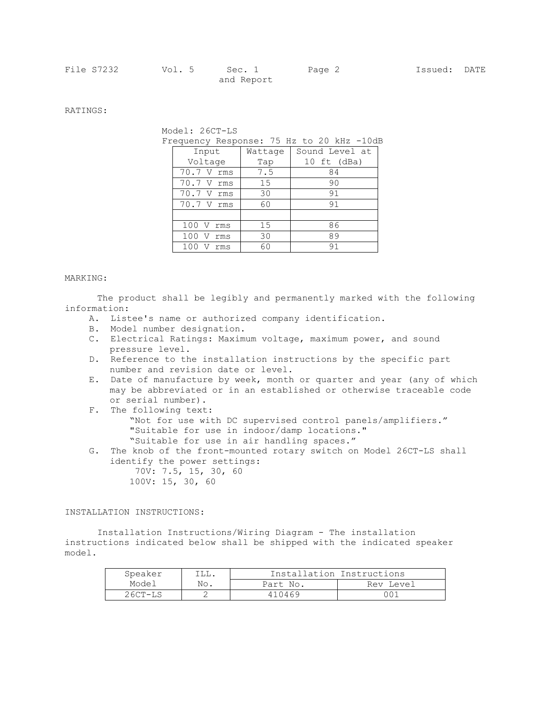RATINGS:

Model: 26CT-LS

Frequency Response: 75 Hz to 20 kHz -10dB

| Input        | Wattage | Sound Level at |
|--------------|---------|----------------|
| Voltage      | Tap     | 10 $ft$ (dBa)  |
| 70.7 V rms   | 7.5     | 84             |
| 70.7 V rms   | 15      | 90             |
| 70.7 V rms   | 30      | 91             |
| 70.7 V rms   | 60      | 91             |
|              |         |                |
| 100 V<br>rms | 15      | 86             |
| rms          | 30      | 89             |
| rms          | 60      | 91             |

### MARKING:

The product shall be legibly and permanently marked with the following information:

- A. Listee's name or authorized company identification.
- B. Model number designation.
- C. Electrical Ratings: Maximum voltage, maximum power, and sound pressure level.
- D. Reference to the installation instructions by the specific part number and revision date or level.
- E. Date of manufacture by week, month or quarter and year (any of which may be abbreviated or in an established or otherwise traceable code or serial number).
- F. The following text: "Not for use with DC supervised control panels/amplifiers." "Suitable for use in indoor/damp locations." "Suitable for use in air handling spaces."
- G. The knob of the front-mounted rotary switch on Model 26CT-LS shall identify the power settings:
	- 70V: 7.5, 15, 30, 60 100V: 15, 30, 60

INSTALLATION INSTRUCTIONS:

 Installation Instructions/Wiring Diagram - The installation instructions indicated below shall be shipped with the indicated speaker model.

| Speaker   | ILL. |          | Installation Instructions |
|-----------|------|----------|---------------------------|
| Model     | No.  | Part No. | Rev Level                 |
| $26CT-LS$ |      | 410469   | າ ດ 1                     |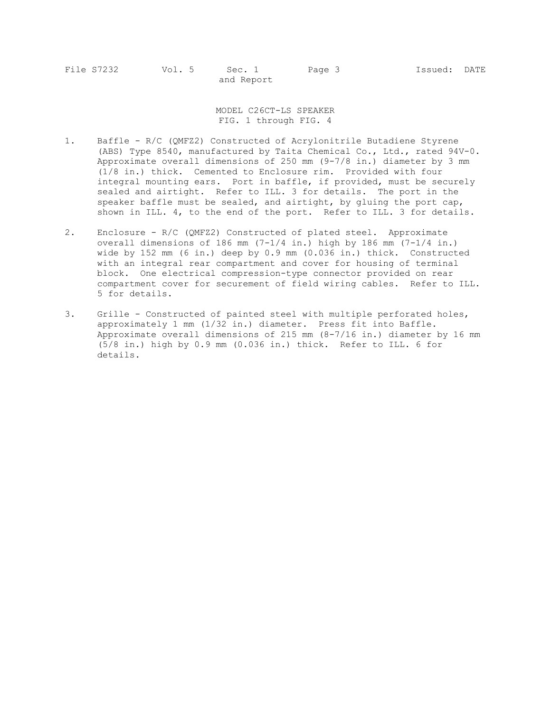MODEL C26CT-LS SPEAKER FIG. 1 through FIG. 4

- 1. Baffle R/C (QMFZ2) Constructed of Acrylonitrile Butadiene Styrene (ABS) Type 8540, manufactured by Taita Chemical Co., Ltd., rated 94V-0. Approximate overall dimensions of 250 mm (9-7/8 in.) diameter by 3 mm (1/8 in.) thick. Cemented to Enclosure rim. Provided with four integral mounting ears. Port in baffle, if provided, must be securely sealed and airtight. Refer to ILL. 3 for details. The port in the speaker baffle must be sealed, and airtight, by gluing the port cap, shown in ILL. 4, to the end of the port. Refer to ILL. 3 for details.
- 2. Enclosure R/C (QMFZ2) Constructed of plated steel. Approximate overall dimensions of 186 mm (7-1/4 in.) high by 186 mm (7-1/4 in.) wide by 152 mm (6 in.) deep by 0.9 mm (0.036 in.) thick. Constructed with an integral rear compartment and cover for housing of terminal block. One electrical compression-type connector provided on rear compartment cover for securement of field wiring cables. Refer to ILL. 5 for details.
- 3. Grille Constructed of painted steel with multiple perforated holes, approximately 1 mm (1/32 in.) diameter. Press fit into Baffle. Approximate overall dimensions of 215 mm (8-7/16 in.) diameter by 16 mm (5/8 in.) high by 0.9 mm (0.036 in.) thick. Refer to ILL. 6 for details.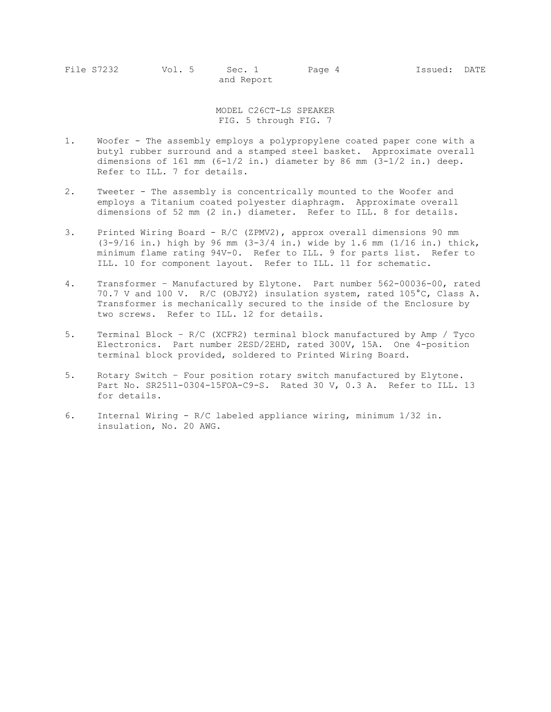MODEL C26CT-LS SPEAKER FIG. 5 through FIG. 7

- 1. Woofer The assembly employs a polypropylene coated paper cone with a butyl rubber surround and a stamped steel basket. Approximate overall dimensions of 161 mm  $(6-1/2 \text{ in.})$  diameter by 86 mm  $(3-1/2 \text{ in.})$  deep. Refer to ILL. 7 for details.
- 2. Tweeter The assembly is concentrically mounted to the Woofer and employs a Titanium coated polyester diaphragm. Approximate overall dimensions of 52 mm (2 in.) diameter. Refer to ILL. 8 for details.
- 3. Printed Wiring Board R/C (ZPMV2), approx overall dimensions 90 mm (3-9/16 in.) high by 96 mm (3-3/4 in.) wide by 1.6 mm (1/16 in.) thick, minimum flame rating 94V-0. Refer to ILL. 9 for parts list. Refer to ILL. 10 for component layout. Refer to ILL. 11 for schematic.
- 4. Transformer Manufactured by Elytone. Part number 562-00036-00, rated 70.7 V and 100 V. R/C (OBJY2) insulation system, rated 105°C, Class A. Transformer is mechanically secured to the inside of the Enclosure by two screws. Refer to ILL. 12 for details.
- 5. Terminal Block R/C (XCFR2) terminal block manufactured by Amp / Tyco Electronics. Part number 2ESD/2EHD, rated 300V, 15A. One 4-position terminal block provided, soldered to Printed Wiring Board.
- 5. Rotary Switch Four position rotary switch manufactured by Elytone. Part No. SR2511-0304-15FOA-C9-S. Rated 30 V, 0.3 A. Refer to ILL. 13 for details.
- 6. Internal Wiring R/C labeled appliance wiring, minimum 1/32 in. insulation, No. 20 AWG.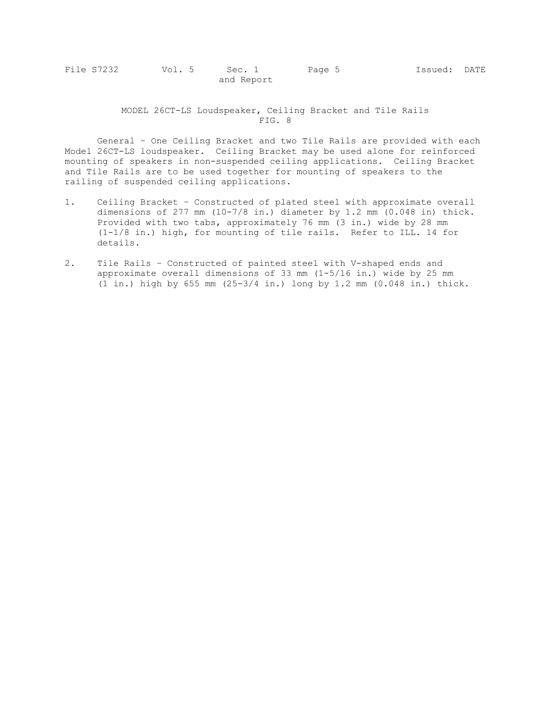MODEL 26CT-LS Loudspeaker, Ceiling Bracket and Tile Rails FIG. 8

 General – One Ceiling Bracket and two Tile Rails are provided with each Model 26CT-LS loudspeaker. Ceiling Bracket may be used alone for reinforced mounting of speakers in non-suspended ceiling applications. Ceiling Bracket and Tile Rails are to be used together for mounting of speakers to the railing of suspended ceiling applications.

- 1. Ceiling Bracket Constructed of plated steel with approximate overall dimensions of 277 mm  $(10-7/8$  in.) diameter by 1.2 mm  $(0.048$  in) thick. Provided with two tabs, approximately 76 mm (3 in.) wide by 28 mm (1-1/8 in.) high, for mounting of tile rails. Refer to ILL. 14 for details.
- 2. Tile Rails Constructed of painted steel with V-shaped ends and approximate overall dimensions of 33 mm (1-5/16 in.) wide by 25 mm (1 in.) high by 655 mm (25-3/4 in.) long by 1.2 mm (0.048 in.) thick.